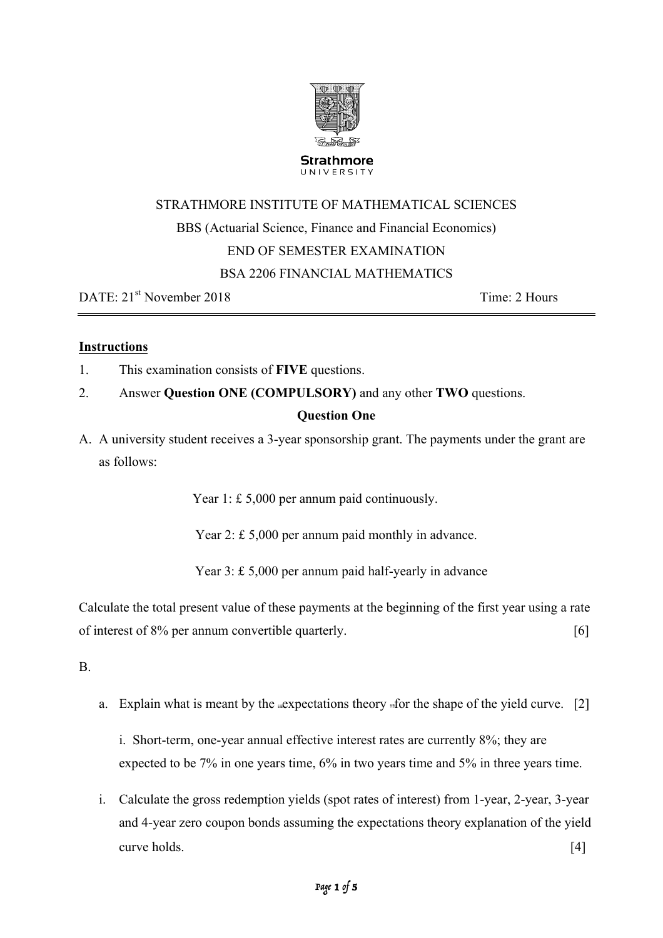

# UNIVERSITY

# STRATHMORE INSTITUTE OF MATHEMATICAL SCIENCES BBS (Actuarial Science, Finance and Financial Economics) END OF SEMESTER EXAMINATION BSA 2206 FINANCIAL MATHEMATICS

DATE:  $21^{\text{st}}$  November 2018 Time: 2 Hours

# **Instructions**

- 1. This examination consists of **FIVE** questions.
- 2. Answer **Question ONE (COMPULSORY)** and any other **TWO** questions.

# **Question One**

A. A university student receives a 3-year sponsorship grant. The payments under the grant are as follows:

Year 1: £ 5,000 per annum paid continuously.

Year 2: £ 5,000 per annum paid monthly in advance.

Year 3: £ 5,000 per annum paid half-yearly in advance

Calculate the total present value of these payments at the beginning of the first year using a rate of interest of 8% per annum convertible quarterly. [6]

B.

a. Explain what is meant by the expectations theory for the shape of the yield curve.  $[2]$ 

i. Short-term, one-year annual effective interest rates are currently 8%; they are expected to be 7% in one years time, 6% in two years time and 5% in three years time.

i. Calculate the gross redemption yields (spot rates of interest) from 1-year, 2-year, 3-year and 4-year zero coupon bonds assuming the expectations theory explanation of the yield curve holds. [4]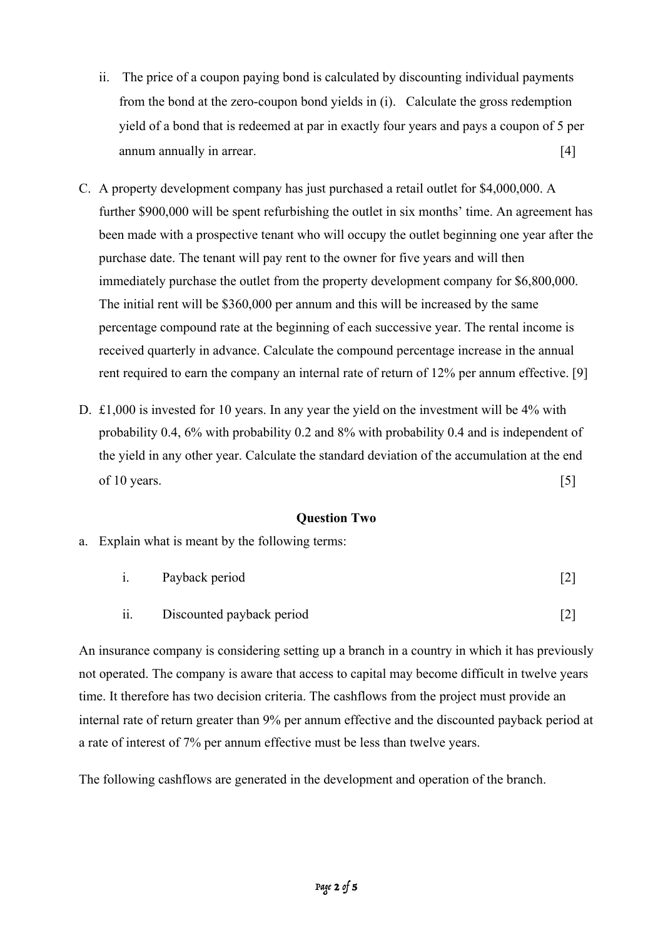- ii. The price of a coupon paying bond is calculated by discounting individual payments from the bond at the zero-coupon bond yields in (i). Calculate the gross redemption yield of a bond that is redeemed at par in exactly four years and pays a coupon of 5 per annum annually in arrear. [4]
- C. A property development company has just purchased a retail outlet for \$4,000,000. A further \$900,000 will be spent refurbishing the outlet in six months' time. An agreement has been made with a prospective tenant who will occupy the outlet beginning one year after the purchase date. The tenant will pay rent to the owner for five years and will then immediately purchase the outlet from the property development company for \$6,800,000. The initial rent will be \$360,000 per annum and this will be increased by the same percentage compound rate at the beginning of each successive year. The rental income is received quarterly in advance. Calculate the compound percentage increase in the annual rent required to earn the company an internal rate of return of 12% per annum effective. [9]
- D. £1,000 is invested for 10 years. In any year the yield on the investment will be 4% with probability 0.4, 6% with probability 0.2 and 8% with probability 0.4 and is independent of the yield in any other year. Calculate the standard deviation of the accumulation at the end of 10 years.  $[5]$

#### **Question Two**

a. Explain what is meant by the following terms:

| Payback period | $\lceil 2 \rceil$ |
|----------------|-------------------|
|                |                   |

ii. Discounted payback period [2]

An insurance company is considering setting up a branch in a country in which it has previously not operated. The company is aware that access to capital may become difficult in twelve years time. It therefore has two decision criteria. The cashflows from the project must provide an internal rate of return greater than 9% per annum effective and the discounted payback period at a rate of interest of 7% per annum effective must be less than twelve years.

The following cashflows are generated in the development and operation of the branch.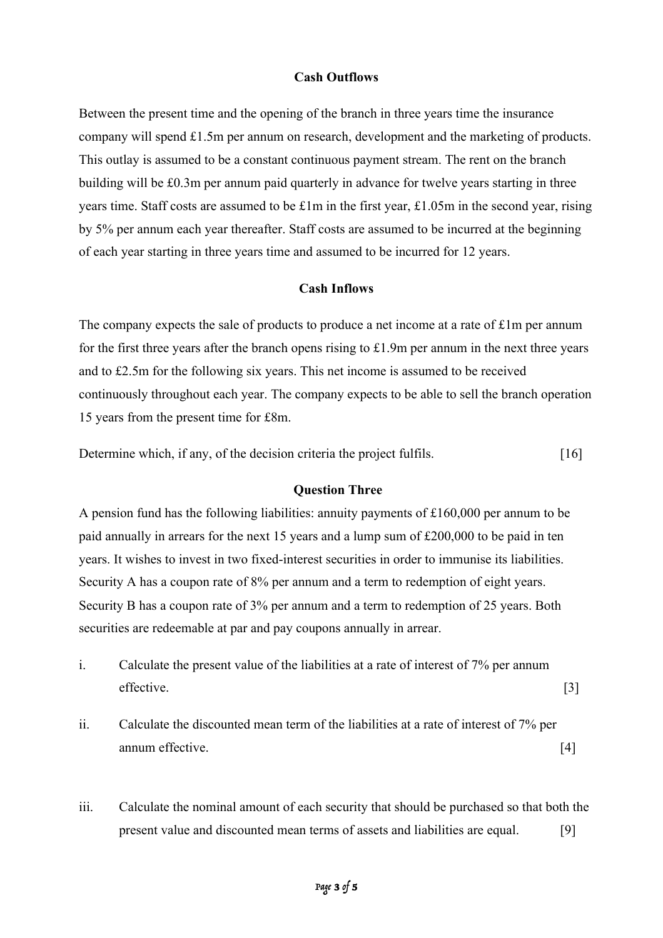#### **Cash Outflows**

Between the present time and the opening of the branch in three years time the insurance company will spend £1.5m per annum on research, development and the marketing of products. This outlay is assumed to be a constant continuous payment stream. The rent on the branch building will be £0.3m per annum paid quarterly in advance for twelve years starting in three years time. Staff costs are assumed to be  $\pounds 1m$  in the first year,  $\pounds 1.05m$  in the second year, rising by 5% per annum each year thereafter. Staff costs are assumed to be incurred at the beginning of each year starting in three years time and assumed to be incurred for 12 years.

#### **Cash Inflows**

The company expects the sale of products to produce a net income at a rate of  $£1m$  per annum for the first three years after the branch opens rising to £1.9m per annum in the next three years and to £2.5m for the following six years. This net income is assumed to be received continuously throughout each year. The company expects to be able to sell the branch operation 15 years from the present time for £8m.

Determine which, if any, of the decision criteria the project fulfils. [16]

#### **Question Three**

A pension fund has the following liabilities: annuity payments of £160,000 per annum to be paid annually in arrears for the next 15 years and a lump sum of £200,000 to be paid in ten years. It wishes to invest in two fixed-interest securities in order to immunise its liabilities. Security A has a coupon rate of 8% per annum and a term to redemption of eight years. Security B has a coupon rate of 3% per annum and a term to redemption of 25 years. Both securities are redeemable at par and pay coupons annually in arrear.

- i. Calculate the present value of the liabilities at a rate of interest of 7% per annum effective. [3]
- ii. Calculate the discounted mean term of the liabilities at a rate of interest of 7% per annum effective. [4]
- iii. Calculate the nominal amount of each security that should be purchased so that both the present value and discounted mean terms of assets and liabilities are equal. [9]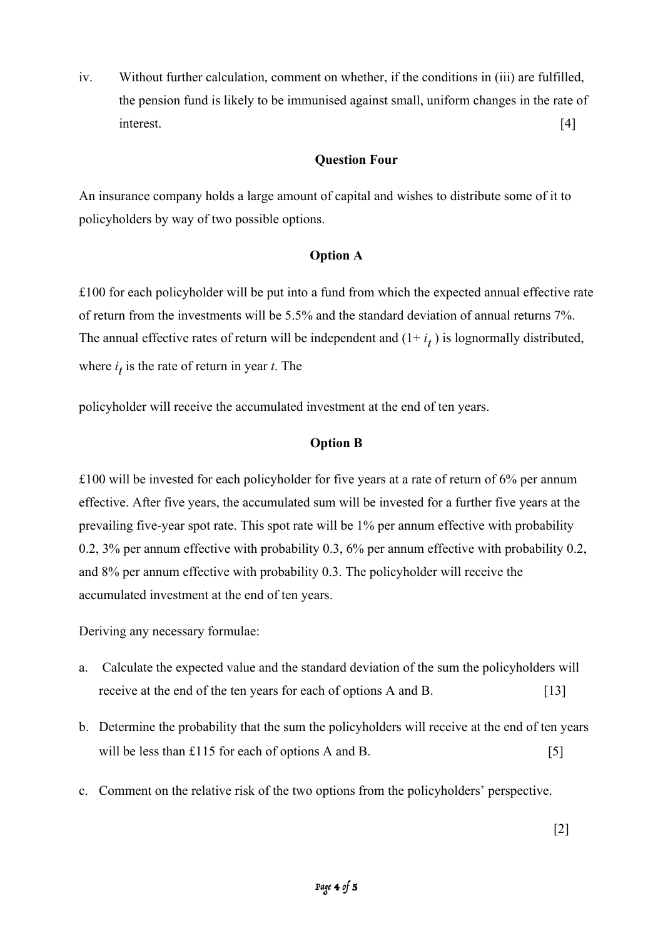iv. Without further calculation, comment on whether, if the conditions in (iii) are fulfilled, the pension fund is likely to be immunised against small, uniform changes in the rate of interest. [4]

## **Question Four**

An insurance company holds a large amount of capital and wishes to distribute some of it to policyholders by way of two possible options.

# **Option A**

£100 for each policyholder will be put into a fund from which the expected annual effective rate of return from the investments will be 5.5% and the standard deviation of annual returns 7%. The annual effective rates of return will be independent and  $(1 + i_t)$  is lognormally distributed, where  $i_t$  is the rate of return in year *t*. The

policyholder will receive the accumulated investment at the end of ten years.

#### **Option B**

 $\pounds$ 100 will be invested for each policyholder for five years at a rate of return of 6% per annum effective. After five years, the accumulated sum will be invested for a further five years at the prevailing five-year spot rate. This spot rate will be 1% per annum effective with probability 0.2, 3% per annum effective with probability 0.3, 6% per annum effective with probability 0.2, and 8% per annum effective with probability 0.3. The policyholder will receive the accumulated investment at the end of ten years.

Deriving any necessary formulae:

- a. Calculate the expected value and the standard deviation of the sum the policyholders will receive at the end of the ten years for each of options A and B. [13]
- b. Determine the probability that the sum the policyholders will receive at the end of ten years will be less than  $£115$  for each of options A and B. [5]
- c. Comment on the relative risk of the two options from the policyholders' perspective.

[2]